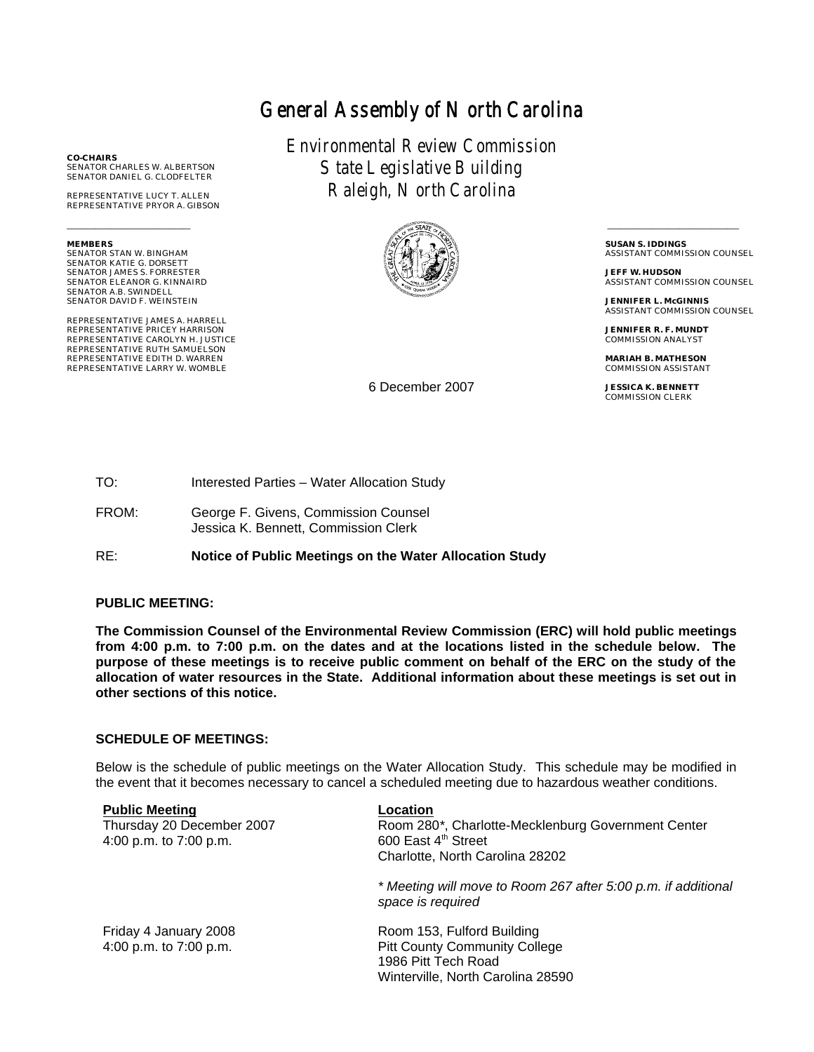# General Assembly of North Carolina

Environmental Review Commission State Legislative Building Raleigh, North Carolina



6 December 2007

 \_\_\_\_\_\_\_\_\_\_\_\_\_\_\_\_\_\_\_\_\_\_\_\_\_\_\_\_\_\_\_\_\_ **SUSAN S. IDDINGS** ASSISTANT COMMISSION COUNSEL

**JEFF W. HUDSON** ASSISTANT COMMISSION COUNSEL

**JENNIFER L. McGINNIS** ASSISTANT COMMISSION COUNSEL

**JENNIFER R. F. MUNDT** COMMISSION ANALYST

**MARIAH B. MATHESON** COMMISSION ASSISTANT

**JESSICA K. BENNETT** COMMISSION CLERK

FROM: George F. Givens, Commission Counsel Jessica K. Bennett, Commission Clerk

TO: Interested Parties – Water Allocation Study

RE: **Notice of Public Meetings on the Water Allocation Study**

#### **PUBLIC MEETING:**

**The Commission Counsel of the Environmental Review Commission (ERC) will hold public meetings from 4:00 p.m. to 7:00 p.m. on the dates and at the locations listed in the schedule below. The purpose of these meetings is to receive public comment on behalf of the ERC on the study of the allocation of water resources in the State. Additional information about these meetings is set out in other sections of this notice.**

#### **SCHEDULE OF MEETINGS:**

Below is the schedule of public meetings on the Water Allocation Study. This schedule may be modified in the event that it becomes necessary to cancel a scheduled meeting due to hazardous weather conditions.

| <b>Public Meeting</b><br>Thursday 20 December 2007<br>4:00 p.m. to 7:00 p.m. | Location<br>Room 280*, Charlotte-Mecklenburg Government Center<br>600 East 4 <sup>th</sup> Street<br>Charlotte, North Carolina 28202 |
|------------------------------------------------------------------------------|--------------------------------------------------------------------------------------------------------------------------------------|
|                                                                              | * Meeting will move to Room 267 after 5:00 p.m. if additional<br>space is required                                                   |
| Friday 4 January 2008<br>4:00 p.m. to 7:00 p.m.                              | Room 153, Fulford Building<br><b>Pitt County Community College</b><br>1986 Pitt Tech Road<br>Winterville, North Carolina 28590       |

**CO-CHAIRS** SENATOR CHARLES W. ALBERTSON SENATOR DANIEL G. CLODFELTER

REPRESENTATIVE LUCY T. ALLEN REPRESENTATIVE PRYOR A. GIBSON

**MEMBERS** SENATOR STAN W. BINGHAM SENATOR KATIE G. DORSETT SENATOR JAMES S. FORRESTER SENATOR ELEANOR G. KINNAIRD SENATOR A.B. SWINDELL SENATOR DAVID F. WEINSTEIN

\_\_\_\_\_\_\_\_\_\_\_\_\_\_\_\_\_\_\_\_\_\_\_\_\_\_\_\_\_\_\_

REPRESENTATIVE JAMES A. HARRELL REPRESENTATIVE PRICEY HARRISON REPRESENTATIVE CAROLYN H. JUSTICE REPRESENTATIVE RUTH SAMUELSON REPRESENTATIVE EDITH D. WARREN REPRESENTATIVE LARRY W. WOMBLE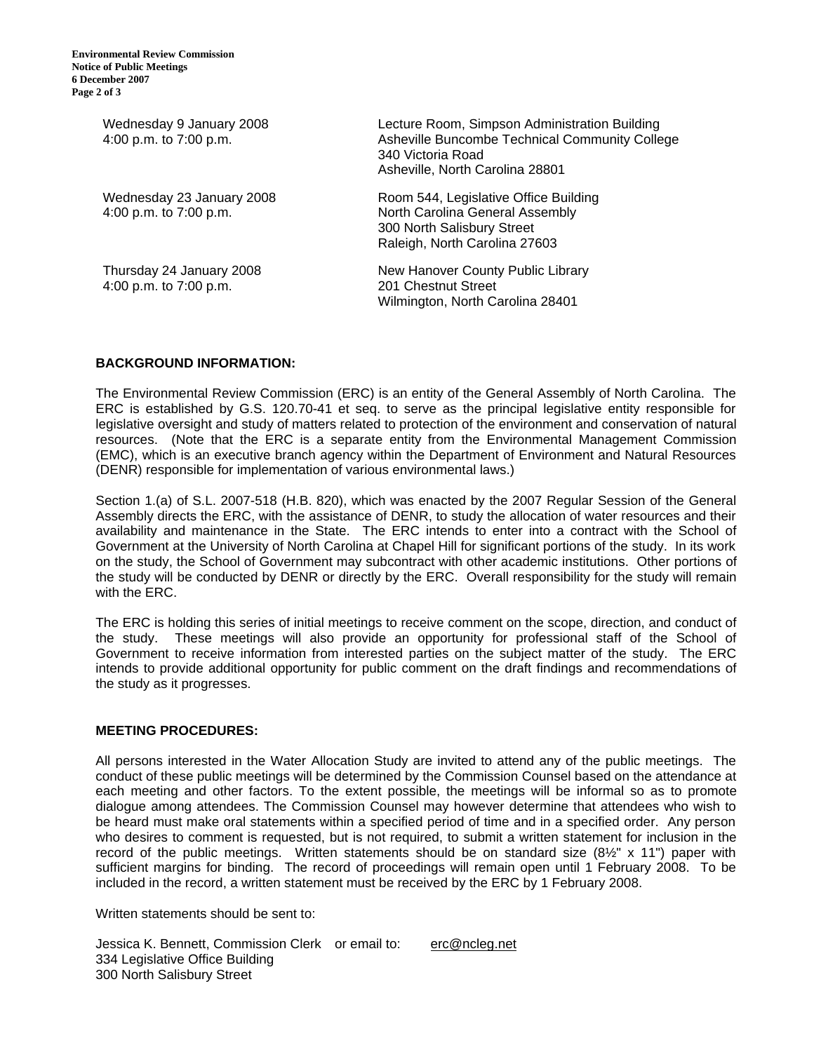| Wednesday 9 January 2008<br>4:00 p.m. to 7:00 p.m.  | Lecture Room, Simpson Administration Building<br>Asheville Buncombe Technical Community College<br>340 Victoria Road<br>Asheville, North Carolina 28801 |
|-----------------------------------------------------|---------------------------------------------------------------------------------------------------------------------------------------------------------|
| Wednesday 23 January 2008<br>4:00 p.m. to 7:00 p.m. | Room 544, Legislative Office Building<br>North Carolina General Assembly<br>300 North Salisbury Street<br>Raleigh, North Carolina 27603                 |
| Thursday 24 January 2008<br>4:00 p.m. to 7:00 p.m.  | New Hanover County Public Library<br>201 Chestnut Street<br>Wilmington, North Carolina 28401                                                            |

#### **BACKGROUND INFORMATION:**

The Environmental Review Commission (ERC) is an entity of the General Assembly of North Carolina. The ERC is established by G.S. 120.70-41 et seq. to serve as the principal legislative entity responsible for legislative oversight and study of matters related to protection of the environment and conservation of natural resources. (Note that the ERC is a separate entity from the Environmental Management Commission (EMC), which is an executive branch agency within the Department of Environment and Natural Resources (DENR) responsible for implementation of various environmental laws.)

Section 1.(a) of S.L. 2007-518 (H.B. 820), which was enacted by the 2007 Regular Session of the General Assembly directs the ERC, with the assistance of DENR, to study the allocation of water resources and their availability and maintenance in the State. The ERC intends to enter into a contract with the School of Government at the University of North Carolina at Chapel Hill for significant portions of the study. In its work on the study, the School of Government may subcontract with other academic institutions. Other portions of the study will be conducted by DENR or directly by the ERC. Overall responsibility for the study will remain with the ERC.

The ERC is holding this series of initial meetings to receive comment on the scope, direction, and conduct of the study. These meetings will also provide an opportunity for professional staff of the School of Government to receive information from interested parties on the subject matter of the study. The ERC intends to provide additional opportunity for public comment on the draft findings and recommendations of the study as it progresses.

### **MEETING PROCEDURES:**

All persons interested in the Water Allocation Study are invited to attend any of the public meetings. The conduct of these public meetings will be determined by the Commission Counsel based on the attendance at each meeting and other factors. To the extent possible, the meetings will be informal so as to promote dialogue among attendees. The Commission Counsel may however determine that attendees who wish to be heard must make oral statements within a specified period of time and in a specified order. Any person who desires to comment is requested, but is not required, to submit a written statement for inclusion in the record of the public meetings. Written statements should be on standard size  $(8\frac{1}{2}$ " x 11") paper with sufficient margins for binding. The record of proceedings will remain open until 1 February 2008. To be included in the record, a written statement must be received by the ERC by 1 February 2008.

Written statements should be sent to:

Jessica K. Bennett, Commission Clerk or email to: erc@ncleg.net 334 Legislative Office Building 300 North Salisbury Street